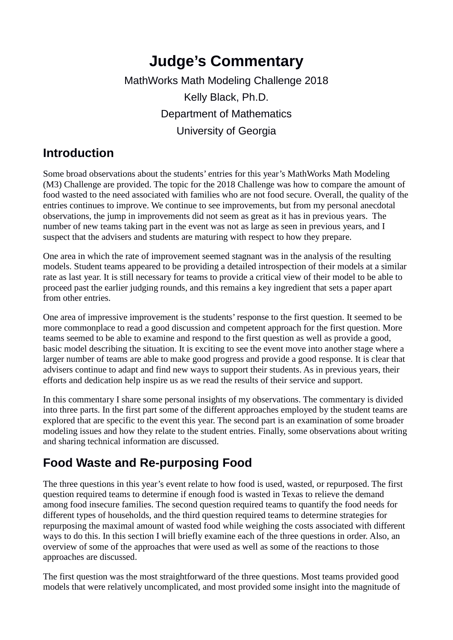# **Judge's Commentary**

MathWorks Math Modeling Challenge 2018 Kelly Black, Ph.D. Department of Mathematics University of Georgia

### **Introduction**

Some broad observations about the students' entries for this year's MathWorks Math Modeling (M3) Challenge are provided. The topic for the 2018 Challenge was how to compare the amount of food wasted to the need associated with families who are not food secure. Overall, the quality of the entries continues to improve. We continue to see improvements, but from my personal anecdotal observations, the jump in improvements did not seem as great as it has in previous years. The number of new teams taking part in the event was not as large as seen in previous years, and I suspect that the advisers and students are maturing with respect to how they prepare.

One area in which the rate of improvement seemed stagnant was in the analysis of the resulting models. Student teams appeared to be providing a detailed introspection of their models at a similar rate as last year. It is still necessary for teams to provide a critical view of their model to be able to proceed past the earlier judging rounds, and this remains a key ingredient that sets a paper apart from other entries.

One area of impressive improvement is the students' response to the first question. It seemed to be more commonplace to read a good discussion and competent approach for the first question. More teams seemed to be able to examine and respond to the first question as well as provide a good, basic model describing the situation. It is exciting to see the event move into another stage where a larger number of teams are able to make good progress and provide a good response. It is clear that advisers continue to adapt and find new ways to support their students. As in previous years, their efforts and dedication help inspire us as we read the results of their service and support.

In this commentary I share some personal insights of my observations. The commentary is divided into three parts. In the first part some of the different approaches employed by the student teams are explored that are specific to the event this year. The second part is an examination of some broader modeling issues and how they relate to the student entries. Finally, some observations about writing and sharing technical information are discussed.

# **Food Waste and Re-purposing Food**

The three questions in this year's event relate to how food is used, wasted, or repurposed. The first question required teams to determine if enough food is wasted in Texas to relieve the demand among food insecure families. The second question required teams to quantify the food needs for different types of households, and the third question required teams to determine strategies for repurposing the maximal amount of wasted food while weighing the costs associated with different ways to do this. In this section I will briefly examine each of the three questions in order. Also, an overview of some of the approaches that were used as well as some of the reactions to those approaches are discussed.

The first question was the most straightforward of the three questions. Most teams provided good models that were relatively uncomplicated, and most provided some insight into the magnitude of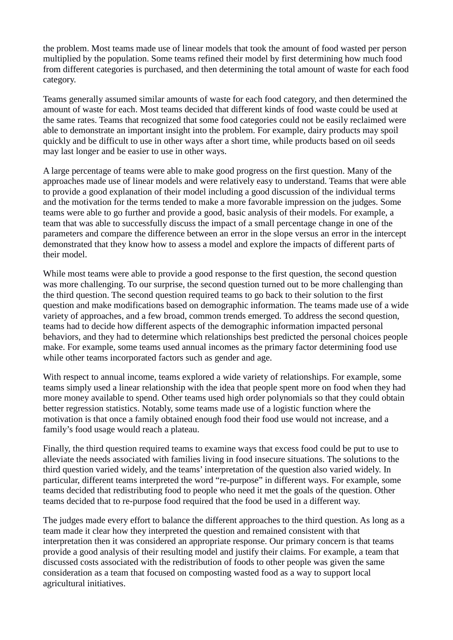the problem. Most teams made use of linear models that took the amount of food wasted per person multiplied by the population. Some teams refined their model by first determining how much food from different categories is purchased, and then determining the total amount of waste for each food category.

Teams generally assumed similar amounts of waste for each food category, and then determined the amount of waste for each. Most teams decided that different kinds of food waste could be used at the same rates. Teams that recognized that some food categories could not be easily reclaimed were able to demonstrate an important insight into the problem. For example, dairy products may spoil quickly and be difficult to use in other ways after a short time, while products based on oil seeds may last longer and be easier to use in other ways.

A large percentage of teams were able to make good progress on the first question. Many of the approaches made use of linear models and were relatively easy to understand. Teams that were able to provide a good explanation of their model including a good discussion of the individual terms and the motivation for the terms tended to make a more favorable impression on the judges. Some teams were able to go further and provide a good, basic analysis of their models. For example, a team that was able to successfully discuss the impact of a small percentage change in one of the parameters and compare the difference between an error in the slope versus an error in the intercept demonstrated that they know how to assess a model and explore the impacts of different parts of their model.

While most teams were able to provide a good response to the first question, the second question was more challenging. To our surprise, the second question turned out to be more challenging than the third question. The second question required teams to go back to their solution to the first question and make modifications based on demographic information. The teams made use of a wide variety of approaches, and a few broad, common trends emerged. To address the second question, teams had to decide how different aspects of the demographic information impacted personal behaviors, and they had to determine which relationships best predicted the personal choices people make. For example, some teams used annual incomes as the primary factor determining food use while other teams incorporated factors such as gender and age.

With respect to annual income, teams explored a wide variety of relationships. For example, some teams simply used a linear relationship with the idea that people spent more on food when they had more money available to spend. Other teams used high order polynomials so that they could obtain better regression statistics. Notably, some teams made use of a logistic function where the motivation is that once a family obtained enough food their food use would not increase, and a family's food usage would reach a plateau.

Finally, the third question required teams to examine ways that excess food could be put to use to alleviate the needs associated with families living in food insecure situations. The solutions to the third question varied widely, and the teams' interpretation of the question also varied widely. In particular, different teams interpreted the word "re-purpose" in different ways. For example, some teams decided that redistributing food to people who need it met the goals of the question. Other teams decided that to re-purpose food required that the food be used in a different way.

The judges made every effort to balance the different approaches to the third question. As long as a team made it clear how they interpreted the question and remained consistent with that interpretation then it was considered an appropriate response. Our primary concern is that teams provide a good analysis of their resulting model and justify their claims. For example, a team that discussed costs associated with the redistribution of foods to other people was given the same consideration as a team that focused on composting wasted food as a way to support local agricultural initiatives.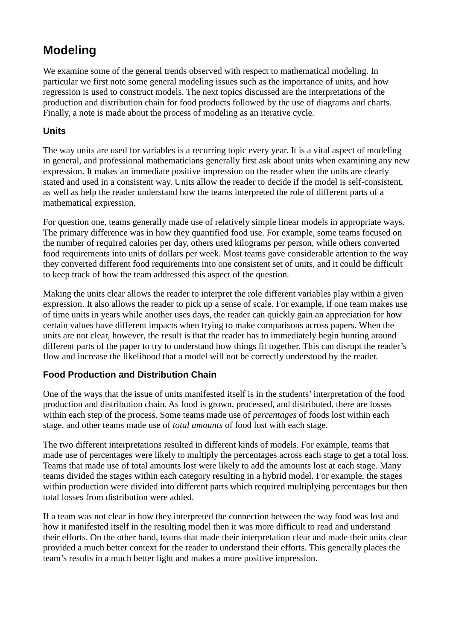## **Modeling**

We examine some of the general trends observed with respect to mathematical modeling. In particular we first note some general modeling issues such as the importance of units, and how regression is used to construct models. The next topics discussed are the interpretations of the production and distribution chain for food products followed by the use of diagrams and charts. Finally, a note is made about the process of modeling as an iterative cycle.

#### **Units**

The way units are used for variables is a recurring topic every year. It is a vital aspect of modeling in general, and professional mathematicians generally first ask about units when examining any new expression. It makes an immediate positive impression on the reader when the units are clearly stated and used in a consistent way. Units allow the reader to decide if the model is self-consistent, as well as help the reader understand how the teams interpreted the role of different parts of a mathematical expression.

For question one, teams generally made use of relatively simple linear models in appropriate ways. The primary difference was in how they quantified food use. For example, some teams focused on the number of required calories per day, others used kilograms per person, while others converted food requirements into units of dollars per week. Most teams gave considerable attention to the way they converted different food requirements into one consistent set of units, and it could be difficult to keep track of how the team addressed this aspect of the question.

Making the units clear allows the reader to interpret the role different variables play within a given expression. It also allows the reader to pick up a sense of scale. For example, if one team makes use of time units in years while another uses days, the reader can quickly gain an appreciation for how certain values have different impacts when trying to make comparisons across papers. When the units are not clear, however, the result is that the reader has to immediately begin hunting around different parts of the paper to try to understand how things fit together. This can disrupt the reader's flow and increase the likelihood that a model will not be correctly understood by the reader.

#### **Food Production and Distribution Chain**

One of the ways that the issue of units manifested itself is in the students' interpretation of the food production and distribution chain. As food is grown, processed, and distributed, there are losses within each step of the process. Some teams made use of *percentages* of foods lost within each stage, and other teams made use of *total amounts* of food lost with each stage.

The two different interpretations resulted in different kinds of models. For example, teams that made use of percentages were likely to multiply the percentages across each stage to get a total loss. Teams that made use of total amounts lost were likely to add the amounts lost at each stage. Many teams divided the stages within each category resulting in a hybrid model. For example, the stages within production were divided into different parts which required multiplying percentages but then total losses from distribution were added.

If a team was not clear in how they interpreted the connection between the way food was lost and how it manifested itself in the resulting model then it was more difficult to read and understand their efforts. On the other hand, teams that made their interpretation clear and made their units clear provided a much better context for the reader to understand their efforts. This generally places the team's results in a much better light and makes a more positive impression.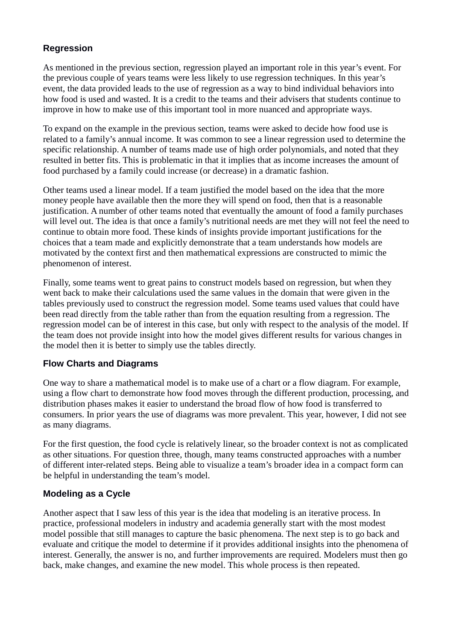#### **Regression**

As mentioned in the previous section, regression played an important role in this year's event. For the previous couple of years teams were less likely to use regression techniques. In this year's event, the data provided leads to the use of regression as a way to bind individual behaviors into how food is used and wasted. It is a credit to the teams and their advisers that students continue to improve in how to make use of this important tool in more nuanced and appropriate ways.

To expand on the example in the previous section, teams were asked to decide how food use is related to a family's annual income. It was common to see a linear regression used to determine the specific relationship. A number of teams made use of high order polynomials, and noted that they resulted in better fits. This is problematic in that it implies that as income increases the amount of food purchased by a family could increase (or decrease) in a dramatic fashion.

Other teams used a linear model. If a team justified the model based on the idea that the more money people have available then the more they will spend on food, then that is a reasonable justification. A number of other teams noted that eventually the amount of food a family purchases will level out. The idea is that once a family's nutritional needs are met they will not feel the need to continue to obtain more food. These kinds of insights provide important justifications for the choices that a team made and explicitly demonstrate that a team understands how models are motivated by the context first and then mathematical expressions are constructed to mimic the phenomenon of interest.

Finally, some teams went to great pains to construct models based on regression, but when they went back to make their calculations used the same values in the domain that were given in the tables previously used to construct the regression model. Some teams used values that could have been read directly from the table rather than from the equation resulting from a regression. The regression model can be of interest in this case, but only with respect to the analysis of the model. If the team does not provide insight into how the model gives different results for various changes in the model then it is better to simply use the tables directly.

#### **Flow Charts and Diagrams**

One way to share a mathematical model is to make use of a chart or a flow diagram. For example, using a flow chart to demonstrate how food moves through the different production, processing, and distribution phases makes it easier to understand the broad flow of how food is transferred to consumers. In prior years the use of diagrams was more prevalent. This year, however, I did not see as many diagrams.

For the first question, the food cycle is relatively linear, so the broader context is not as complicated as other situations. For question three, though, many teams constructed approaches with a number of different inter-related steps. Being able to visualize a team's broader idea in a compact form can be helpful in understanding the team's model.

#### **Modeling as a Cycle**

Another aspect that I saw less of this year is the idea that modeling is an iterative process. In practice, professional modelers in industry and academia generally start with the most modest model possible that still manages to capture the basic phenomena. The next step is to go back and evaluate and critique the model to determine if it provides additional insights into the phenomena of interest. Generally, the answer is no, and further improvements are required. Modelers must then go back, make changes, and examine the new model. This whole process is then repeated.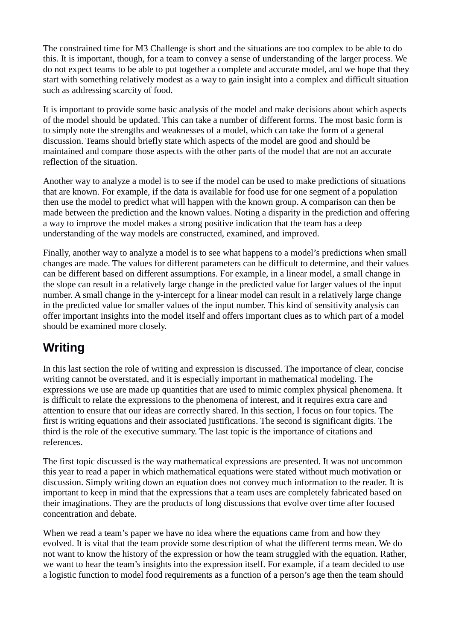The constrained time for M3 Challenge is short and the situations are too complex to be able to do this. It is important, though, for a team to convey a sense of understanding of the larger process. We do not expect teams to be able to put together a complete and accurate model, and we hope that they start with something relatively modest as a way to gain insight into a complex and difficult situation such as addressing scarcity of food.

It is important to provide some basic analysis of the model and make decisions about which aspects of the model should be updated. This can take a number of different forms. The most basic form is to simply note the strengths and weaknesses of a model, which can take the form of a general discussion. Teams should briefly state which aspects of the model are good and should be maintained and compare those aspects with the other parts of the model that are not an accurate reflection of the situation.

Another way to analyze a model is to see if the model can be used to make predictions of situations that are known. For example, if the data is available for food use for one segment of a population then use the model to predict what will happen with the known group. A comparison can then be made between the prediction and the known values. Noting a disparity in the prediction and offering a way to improve the model makes a strong positive indication that the team has a deep understanding of the way models are constructed, examined, and improved.

Finally, another way to analyze a model is to see what happens to a model's predictions when small changes are made. The values for different parameters can be difficult to determine, and their values can be different based on different assumptions. For example, in a linear model, a small change in the slope can result in a relatively large change in the predicted value for larger values of the input number. A small change in the y-intercept for a linear model can result in a relatively large change in the predicted value for smaller values of the input number. This kind of sensitivity analysis can offer important insights into the model itself and offers important clues as to which part of a model should be examined more closely.

## **Writing**

In this last section the role of writing and expression is discussed. The importance of clear, concise writing cannot be overstated, and it is especially important in mathematical modeling. The expressions we use are made up quantities that are used to mimic complex physical phenomena. It is difficult to relate the expressions to the phenomena of interest, and it requires extra care and attention to ensure that our ideas are correctly shared. In this section, I focus on four topics. The first is writing equations and their associated justifications. The second is significant digits. The third is the role of the executive summary. The last topic is the importance of citations and references.

The first topic discussed is the way mathematical expressions are presented. It was not uncommon this year to read a paper in which mathematical equations were stated without much motivation or discussion. Simply writing down an equation does not convey much information to the reader. It is important to keep in mind that the expressions that a team uses are completely fabricated based on their imaginations. They are the products of long discussions that evolve over time after focused concentration and debate.

When we read a team's paper we have no idea where the equations came from and how they evolved. It is vital that the team provide some description of what the different terms mean. We do not want to know the history of the expression or how the team struggled with the equation. Rather, we want to hear the team's insights into the expression itself. For example, if a team decided to use a logistic function to model food requirements as a function of a person's age then the team should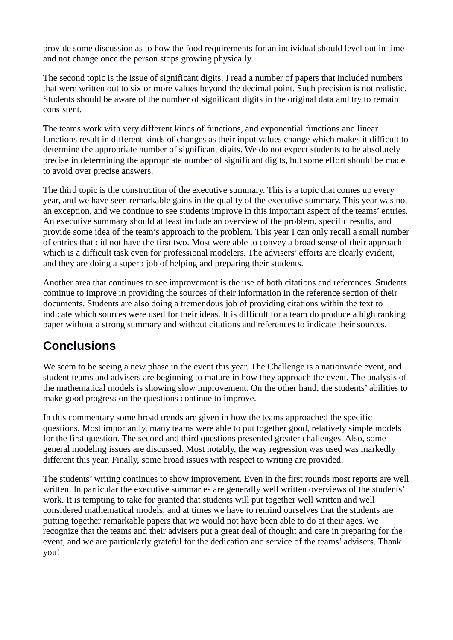provide some discussion as to how the food requirements for an individual should level out in time and not change once the person stops growing physically.

The second topic is the issue of significant digits. I read a number of papers that included numbers that were written out to six or more values beyond the decimal point. Such precision is not realistic. Students should be aware of the number of significant digits in the original data and try to remain consistent.

The teams work with very different kinds of functions, and exponential functions and linear functions result in different kinds of changes as their input values change which makes it difficult to determine the appropriate number of significant digits. We do not expect students to be absolutely precise in determining the appropriate number of significant digits, but some effort should be made to avoid over precise answers.

The third topic is the construction of the executive summary. This is a topic that comes up every year, and we have seen remarkable gains in the quality of the executive summary. This year was not an exception, and we continue to see students improve in this important aspect of the teams' entries. An executive summary should at least include an overview of the problem, specific results, and provide some idea of the team's approach to the problem. This year I can only recall a small number of entries that did not have the first two. Most were able to convey a broad sense of their approach which is a difficult task even for professional modelers. The advisers' efforts are clearly evident, and they are doing a superb job of helping and preparing their students.

Another area that continues to see improvement is the use of both citations and references. Students continue to improve in providing the sources of their information in the reference section of their documents. Students are also doing a tremendous job of providing citations within the text to indicate which sources were used for their ideas. It is difficult for a team do produce a high ranking paper without a strong summary and without citations and references to indicate their sources.

### **Conclusions**

We seem to be seeing a new phase in the event this year. The Challenge is a nationwide event, and student teams and advisers are beginning to mature in how they approach the event. The analysis of the mathematical models is showing slow improvement. On the other hand, the students' abilities to make good progress on the questions continue to improve.

In this commentary some broad trends are given in how the teams approached the specific questions. Most importantly, many teams were able to put together good, relatively simple models for the first question. The second and third questions presented greater challenges. Also, some general modeling issues are discussed. Most notably, the way regression was used was markedly different this year. Finally, some broad issues with respect to writing are provided.

The students' writing continues to show improvement. Even in the first rounds most reports are well written. In particular the executive summaries are generally well written overviews of the students' work. It is tempting to take for granted that students will put together well written and well considered mathematical models, and at times we have to remind ourselves that the students are putting together remarkable papers that we would not have been able to do at their ages. We recognize that the teams and their advisers put a great deal of thought and care in preparing for the event, and we are particularly grateful for the dedication and service of the teams' advisers. Thank you!